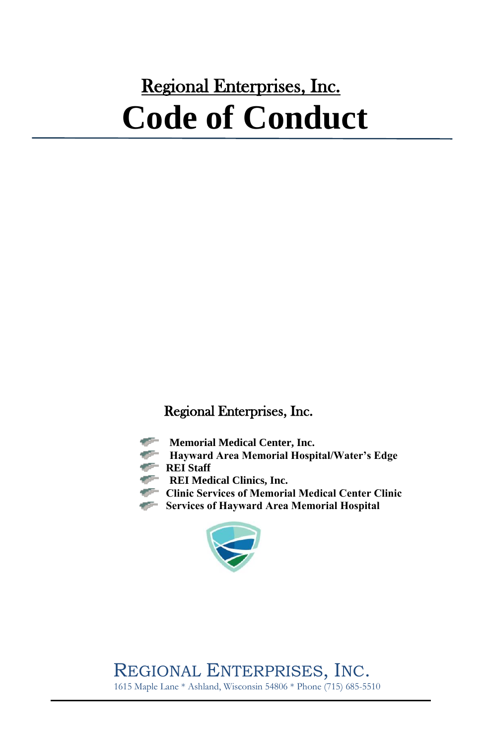# Regional Enterprises, Inc. **Code of Conduct**

#### Regional Enterprises, Inc.

- **STEP 18 Memorial Medical Center, Inc.**
- **Hayward Area Memorial Hospital/Water's Edge**
- **REI** Staff
- **REI Medical Clinics, Inc.**
- **Clinic Services of Memorial Medical Center Clinic**
- **Services of Hayward Area Memorial Hospital**



REGIONAL ENTERPRISES, INC. 1615 Maple Lane \* Ashland, Wisconsin 54806 \* Phone (715) 685-5510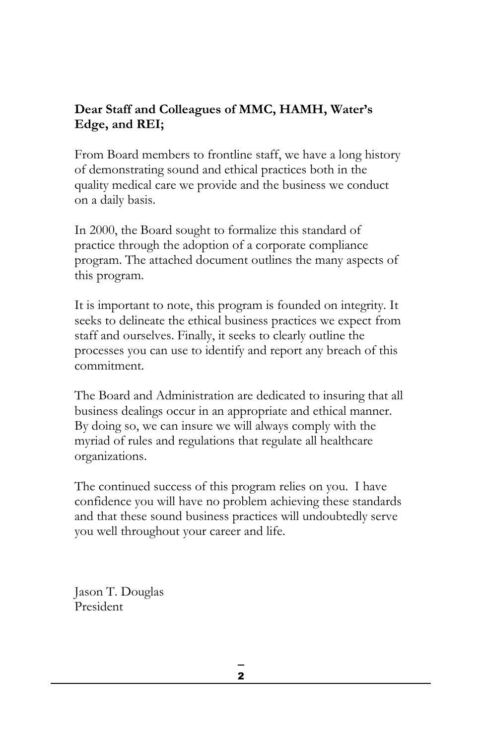#### **Dear Staff and Colleagues of MMC, HAMH, Water's Edge, and REI;**

From Board members to frontline staff, we have a long history of demonstrating sound and ethical practices both in the quality medical care we provide and the business we conduct on a daily basis.

In 2000, the Board sought to formalize this standard of practice through the adoption of a corporate compliance program. The attached document outlines the many aspects of this program.

It is important to note, this program is founded on integrity. It seeks to delineate the ethical business practices we expect from staff and ourselves. Finally, it seeks to clearly outline the processes you can use to identify and report any breach of this commitment.

The Board and Administration are dedicated to insuring that all business dealings occur in an appropriate and ethical manner. By doing so, we can insure we will always comply with the myriad of rules and regulations that regulate all healthcare organizations.

The continued success of this program relies on you. I have confidence you will have no problem achieving these standards and that these sound business practices will undoubtedly serve you well throughout your career and life.

Jason T. Douglas President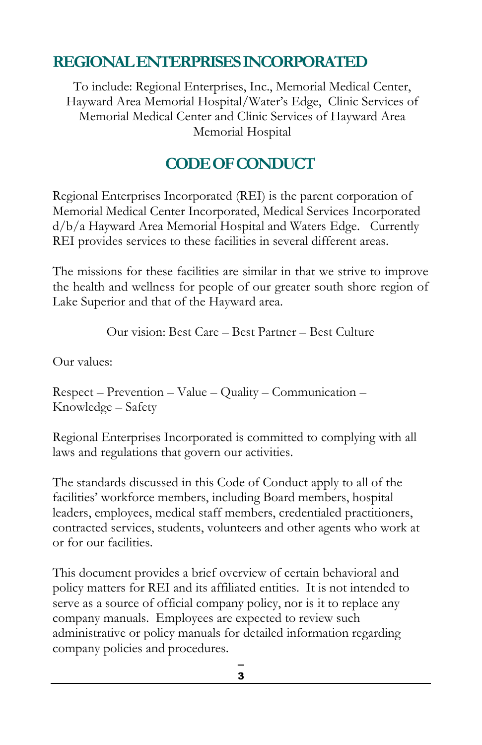## **REGIONAL ENTERPRISES INCORPORATED**

To include: Regional Enterprises, Inc., Memorial Medical Center, Hayward Area Memorial Hospital/Water's Edge, Clinic Services of Memorial Medical Center and Clinic Services of Hayward Area Memorial Hospital

## **CODE OF CONDUCT**

Regional Enterprises Incorporated (REI) is the parent corporation of Memorial Medical Center Incorporated, Medical Services Incorporated d/b/a Hayward Area Memorial Hospital and Waters Edge. Currently REI provides services to these facilities in several different areas.

The missions for these facilities are similar in that we strive to improve the health and wellness for people of our greater south shore region of Lake Superior and that of the Hayward area.

Our vision: Best Care – Best Partner – Best Culture

Our values:

Respect – Prevention – Value – Quality – Communication – Knowledge – Safety

Regional Enterprises Incorporated is committed to complying with all laws and regulations that govern our activities.

The standards discussed in this Code of Conduct apply to all of the facilities' workforce members, including Board members, hospital leaders, employees, medical staff members, credentialed practitioners, contracted services, students, volunteers and other agents who work at or for our facilities.

This document provides a brief overview of certain behavioral and policy matters for REI and its affiliated entities. It is not intended to serve as a source of official company policy, nor is it to replace any company manuals. Employees are expected to review such administrative or policy manuals for detailed information regarding company policies and procedures.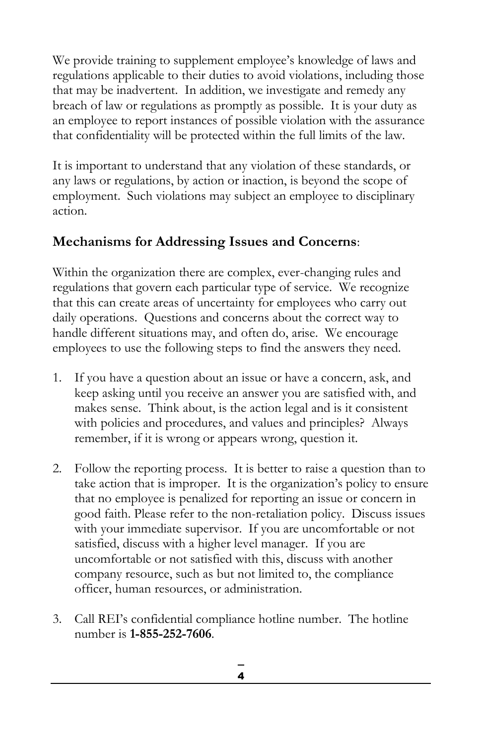We provide training to supplement employee's knowledge of laws and regulations applicable to their duties to avoid violations, including those that may be inadvertent. In addition, we investigate and remedy any breach of law or regulations as promptly as possible. It is your duty as an employee to report instances of possible violation with the assurance that confidentiality will be protected within the full limits of the law.

It is important to understand that any violation of these standards, or any laws or regulations, by action or inaction, is beyond the scope of employment. Such violations may subject an employee to disciplinary action.

## **Mechanisms for Addressing Issues and Concerns**:

Within the organization there are complex, ever-changing rules and regulations that govern each particular type of service. We recognize that this can create areas of uncertainty for employees who carry out daily operations. Questions and concerns about the correct way to handle different situations may, and often do, arise. We encourage employees to use the following steps to find the answers they need.

- 1. If you have a question about an issue or have a concern, ask, and keep asking until you receive an answer you are satisfied with, and makes sense. Think about, is the action legal and is it consistent with policies and procedures, and values and principles? Always remember, if it is wrong or appears wrong, question it.
- 2. Follow the reporting process. It is better to raise a question than to take action that is improper. It is the organization's policy to ensure that no employee is penalized for reporting an issue or concern in good faith. Please refer to the non-retaliation policy. Discuss issues with your immediate supervisor. If you are uncomfortable or not satisfied, discuss with a higher level manager. If you are uncomfortable or not satisfied with this, discuss with another company resource, such as but not limited to, the compliance officer, human resources, or administration.
- 3. Call REI's confidential compliance hotline number. The hotline number is **1-855-252-7606**.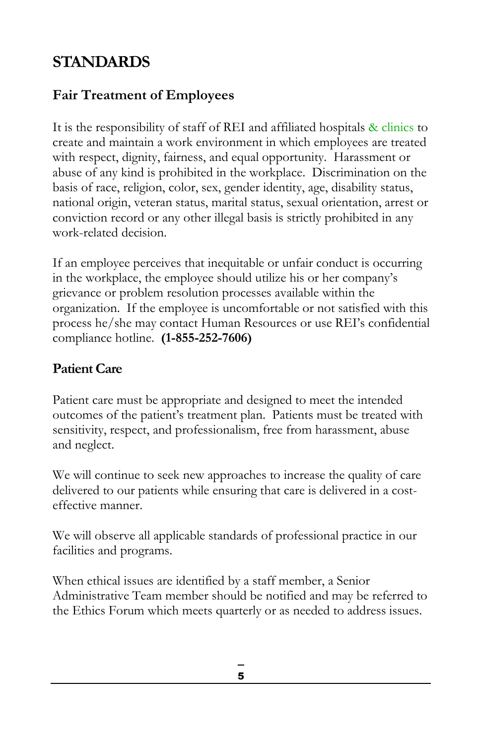## **STANDARDS**

## **Fair Treatment of Employees**

It is the responsibility of staff of REI and affiliated hospitals & clinics to create and maintain a work environment in which employees are treated with respect, dignity, fairness, and equal opportunity. Harassment or abuse of any kind is prohibited in the workplace. Discrimination on the basis of race, religion, color, sex, gender identity, age, disability status, national origin, veteran status, marital status, sexual orientation, arrest or conviction record or any other illegal basis is strictly prohibited in any work-related decision.

If an employee perceives that inequitable or unfair conduct is occurring in the workplace, the employee should utilize his or her company's grievance or problem resolution processes available within the organization. If the employee is uncomfortable or not satisfied with this process he/she may contact Human Resources or use REI's confidential compliance hotline. **(1-855-252-7606)**

## **Patient Care**

Patient care must be appropriate and designed to meet the intended outcomes of the patient's treatment plan. Patients must be treated with sensitivity, respect, and professionalism, free from harassment, abuse and neglect.

We will continue to seek new approaches to increase the quality of care delivered to our patients while ensuring that care is delivered in a costeffective manner.

We will observe all applicable standards of professional practice in our facilities and programs.

When ethical issues are identified by a staff member, a Senior Administrative Team member should be notified and may be referred to the Ethics Forum which meets quarterly or as needed to address issues.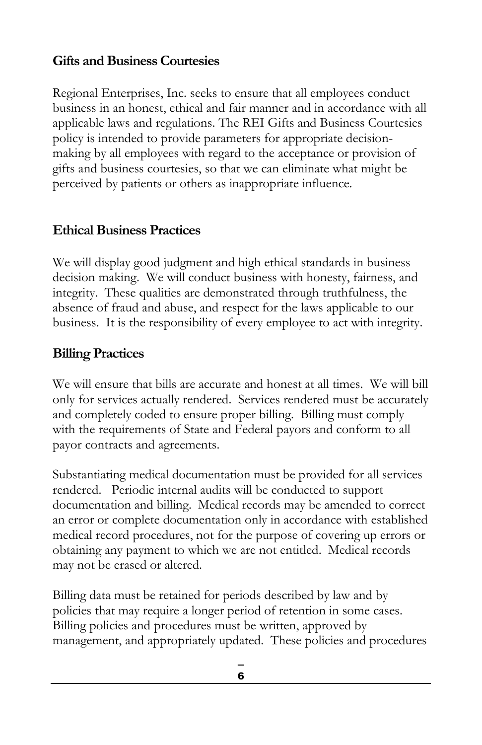#### **Gifts and Business Courtesies**

Regional Enterprises, Inc. seeks to ensure that all employees conduct business in an honest, ethical and fair manner and in accordance with all applicable laws and regulations. The REI Gifts and Business Courtesies policy is intended to provide parameters for appropriate decisionmaking by all employees with regard to the acceptance or provision of gifts and business courtesies, so that we can eliminate what might be perceived by patients or others as inappropriate influence.

#### **Ethical Business Practices**

We will display good judgment and high ethical standards in business decision making. We will conduct business with honesty, fairness, and integrity. These qualities are demonstrated through truthfulness, the absence of fraud and abuse, and respect for the laws applicable to our business. It is the responsibility of every employee to act with integrity.

#### **Billing Practices**

We will ensure that bills are accurate and honest at all times. We will bill only for services actually rendered. Services rendered must be accurately and completely coded to ensure proper billing. Billing must comply with the requirements of State and Federal payors and conform to all payor contracts and agreements.

Substantiating medical documentation must be provided for all services rendered. Periodic internal audits will be conducted to support documentation and billing. Medical records may be amended to correct an error or complete documentation only in accordance with established medical record procedures, not for the purpose of covering up errors or obtaining any payment to which we are not entitled. Medical records may not be erased or altered.

Billing data must be retained for periods described by law and by policies that may require a longer period of retention in some cases. Billing policies and procedures must be written, approved by management, and appropriately updated. These policies and procedures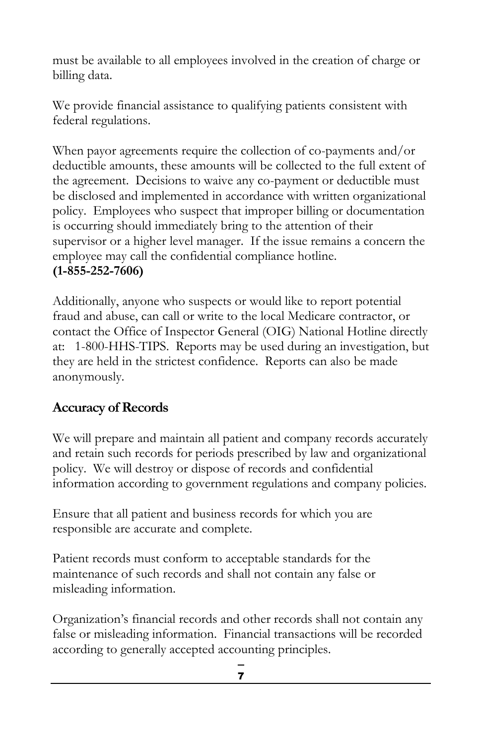must be available to all employees involved in the creation of charge or billing data.

We provide financial assistance to qualifying patients consistent with federal regulations.

When payor agreements require the collection of co-payments and/or deductible amounts, these amounts will be collected to the full extent of the agreement. Decisions to waive any co-payment or deductible must be disclosed and implemented in accordance with written organizational policy. Employees who suspect that improper billing or documentation is occurring should immediately bring to the attention of their supervisor or a higher level manager. If the issue remains a concern the employee may call the confidential compliance hotline. **(1-855-252-7606)** 

Additionally, anyone who suspects or would like to report potential fraud and abuse, can call or write to the local Medicare contractor, or contact the Office of Inspector General (OIG) National Hotline directly at: 1-800-HHS-TIPS. Reports may be used during an investigation, but they are held in the strictest confidence. Reports can also be made anonymously.

## **Accuracy of Records**

We will prepare and maintain all patient and company records accurately and retain such records for periods prescribed by law and organizational policy. We will destroy or dispose of records and confidential information according to government regulations and company policies.

Ensure that all patient and business records for which you are responsible are accurate and complete.

Patient records must conform to acceptable standards for the maintenance of such records and shall not contain any false or misleading information.

Organization's financial records and other records shall not contain any false or misleading information. Financial transactions will be recorded according to generally accepted accounting principles.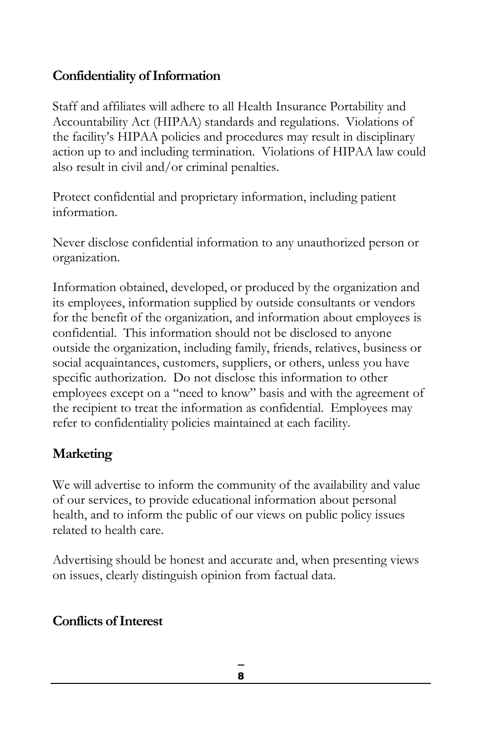## **Confidentiality of Information**

Staff and affiliates will adhere to all Health Insurance Portability and Accountability Act (HIPAA) standards and regulations. Violations of the facility's HIPAA policies and procedures may result in disciplinary action up to and including termination. Violations of HIPAA law could also result in civil and/or criminal penalties.

Protect confidential and proprietary information, including patient information.

Never disclose confidential information to any unauthorized person or organization.

Information obtained, developed, or produced by the organization and its employees, information supplied by outside consultants or vendors for the benefit of the organization, and information about employees is confidential. This information should not be disclosed to anyone outside the organization, including family, friends, relatives, business or social acquaintances, customers, suppliers, or others, unless you have specific authorization. Do not disclose this information to other employees except on a "need to know" basis and with the agreement of the recipient to treat the information as confidential. Employees may refer to confidentiality policies maintained at each facility.

## **Marketing**

We will advertise to inform the community of the availability and value of our services, to provide educational information about personal health, and to inform the public of our views on public policy issues related to health care.

Advertising should be honest and accurate and, when presenting views on issues, clearly distinguish opinion from factual data.

## **Conflicts of Interest**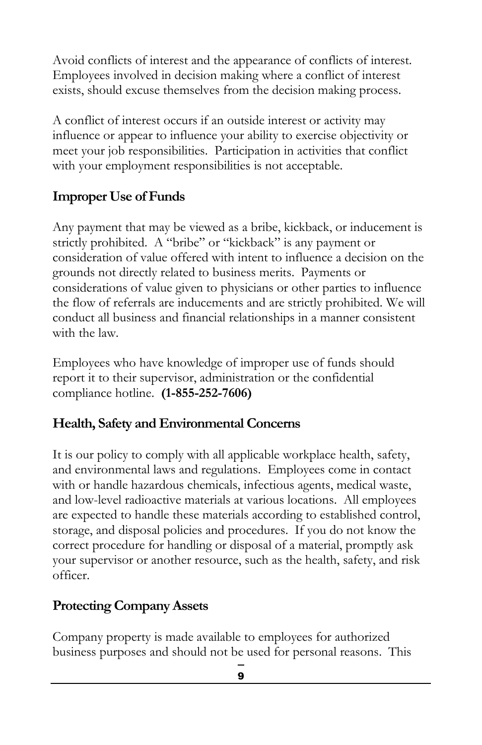Avoid conflicts of interest and the appearance of conflicts of interest. Employees involved in decision making where a conflict of interest exists, should excuse themselves from the decision making process.

A conflict of interest occurs if an outside interest or activity may influence or appear to influence your ability to exercise objectivity or meet your job responsibilities. Participation in activities that conflict with your employment responsibilities is not acceptable.

## **Improper Use of Funds**

Any payment that may be viewed as a bribe, kickback, or inducement is strictly prohibited. A "bribe" or "kickback" is any payment or consideration of value offered with intent to influence a decision on the grounds not directly related to business merits. Payments or considerations of value given to physicians or other parties to influence the flow of referrals are inducements and are strictly prohibited. We will conduct all business and financial relationships in a manner consistent with the law.

Employees who have knowledge of improper use of funds should report it to their supervisor, administration or the confidential compliance hotline. **(1-855-252-7606)**

## **Health, Safety and Environmental Concerns**

It is our policy to comply with all applicable workplace health, safety, and environmental laws and regulations. Employees come in contact with or handle hazardous chemicals, infectious agents, medical waste, and low-level radioactive materials at various locations. All employees are expected to handle these materials according to established control, storage, and disposal policies and procedures. If you do not know the correct procedure for handling or disposal of a material, promptly ask your supervisor or another resource, such as the health, safety, and risk officer.

## **Protecting Company Assets**

Company property is made available to employees for authorized business purposes and should not be used for personal reasons. This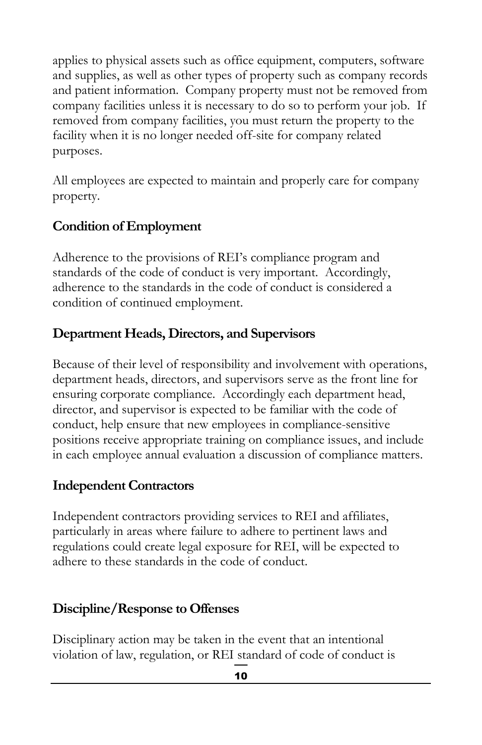applies to physical assets such as office equipment, computers, software and supplies, as well as other types of property such as company records and patient information. Company property must not be removed from company facilities unless it is necessary to do so to perform your job. If removed from company facilities, you must return the property to the facility when it is no longer needed off-site for company related purposes.

All employees are expected to maintain and properly care for company property.

#### **Condition of Employment**

Adherence to the provisions of REI's compliance program and standards of the code of conduct is very important. Accordingly, adherence to the standards in the code of conduct is considered a condition of continued employment.

#### **Department Heads, Directors, and Supervisors**

Because of their level of responsibility and involvement with operations, department heads, directors, and supervisors serve as the front line for ensuring corporate compliance. Accordingly each department head, director, and supervisor is expected to be familiar with the code of conduct, help ensure that new employees in compliance-sensitive positions receive appropriate training on compliance issues, and include in each employee annual evaluation a discussion of compliance matters.

#### **Independent Contractors**

Independent contractors providing services to REI and affiliates, particularly in areas where failure to adhere to pertinent laws and regulations could create legal exposure for REI, will be expected to adhere to these standards in the code of conduct.

#### **Discipline/Response to Offenses**

Disciplinary action may be taken in the event that an intentional violation of law, regulation, or REI standard of code of conduct is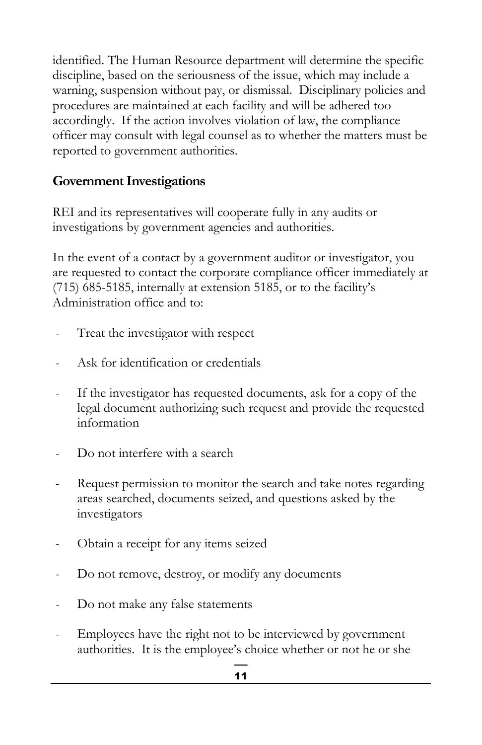identified. The Human Resource department will determine the specific discipline, based on the seriousness of the issue, which may include a warning, suspension without pay, or dismissal. Disciplinary policies and procedures are maintained at each facility and will be adhered too accordingly. If the action involves violation of law, the compliance officer may consult with legal counsel as to whether the matters must be reported to government authorities.

## **Government Investigations**

REI and its representatives will cooperate fully in any audits or investigations by government agencies and authorities.

In the event of a contact by a government auditor or investigator, you are requested to contact the corporate compliance officer immediately at (715) 685-5185, internally at extension 5185, or to the facility's Administration office and to:

- Treat the investigator with respect
- Ask for identification or credentials
- If the investigator has requested documents, ask for a copy of the legal document authorizing such request and provide the requested information
- Do not interfere with a search
- Request permission to monitor the search and take notes regarding areas searched, documents seized, and questions asked by the investigators
- Obtain a receipt for any items seized
- Do not remove, destroy, or modify any documents
- Do not make any false statements
- Employees have the right not to be interviewed by government authorities. It is the employee's choice whether or not he or she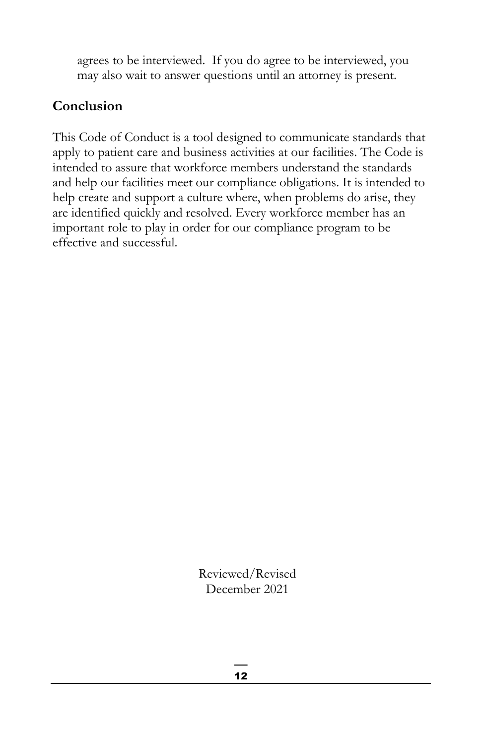agrees to be interviewed. If you do agree to be interviewed, you may also wait to answer questions until an attorney is present.

## **Conclusion**

This Code of Conduct is a tool designed to communicate standards that apply to patient care and business activities at our facilities. The Code is intended to assure that workforce members understand the standards and help our facilities meet our compliance obligations. It is intended to help create and support a culture where, when problems do arise, they are identified quickly and resolved. Every workforce member has an important role to play in order for our compliance program to be effective and successful.

> Reviewed/Revised December 2021